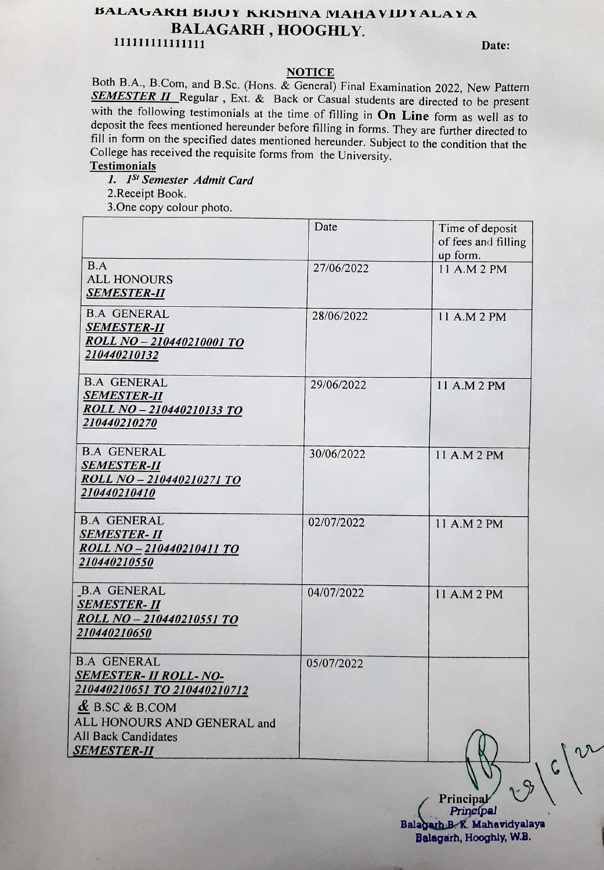## BALAGARH BIJUY KKISHNA MAHAVIDYALAYA BALAGARH, HOOGHLY. 111111111111111 Date:

NOTICE<br>Both B.A., B.Com, and B.Sc. (Hons. & General) Final Examination 2022, New Pattern SEMESTER II\_Regular , Ext. & Back or Casual students are directed to be present with the following testimonials at the time of filling in **On Line** form as well as to deposit the fees mentioned hereunder before filling in forms. They are further directed to fill in form on the specified dates mentioned hereunder. Subject to the condition that the College has received the requisite forms from the University. Testimonials

1. 1<sup>St</sup> Semester Admit Card

2.Receipt Book.

3.One copy colour photo.

| B.A<br>27/06/2022<br><b>ALL HONOURS</b><br><b>SEMESTER-II</b><br><b>B.A GENERAL</b><br>28/06/2022<br><b>SEMESTER-II</b><br>ROLL NO - 210440210001 TO<br>210440210132<br><b>B.A GENERAL</b><br>29/06/2022<br><b>SEMESTER-II</b><br>ROLL NO - 210440210133 TO<br>210440210270<br><b>B.A GENERAL</b><br>30/06/2022<br><b>SEMESTER-II</b><br>ROLL NO - 210440210271 TO<br>210440210410<br><b>B.A GENERAL</b><br>02/07/2022<br><b>SEMESTER-II</b><br>ROLL NO -210440210411 TO<br>210440210550<br><b>B.A GENERAL</b><br>04/07/2022<br><b>SEMESTER- II</b><br>ROLL NO - 210440210551 TO<br>210440210650<br><b>B.A GENERAL</b><br>05/07/2022<br><b>SEMESTER- II ROLL- NO-</b><br>210440210651 TO 210440210712 | Time of deposit<br>of fees and filling<br>up form. |
|-------------------------------------------------------------------------------------------------------------------------------------------------------------------------------------------------------------------------------------------------------------------------------------------------------------------------------------------------------------------------------------------------------------------------------------------------------------------------------------------------------------------------------------------------------------------------------------------------------------------------------------------------------------------------------------------------------|----------------------------------------------------|
|                                                                                                                                                                                                                                                                                                                                                                                                                                                                                                                                                                                                                                                                                                       | 11 A.M 2 PM                                        |
|                                                                                                                                                                                                                                                                                                                                                                                                                                                                                                                                                                                                                                                                                                       | 11 A.M 2 PM                                        |
|                                                                                                                                                                                                                                                                                                                                                                                                                                                                                                                                                                                                                                                                                                       | 11 A.M 2 PM                                        |
|                                                                                                                                                                                                                                                                                                                                                                                                                                                                                                                                                                                                                                                                                                       | 11 A.M 2 PM                                        |
|                                                                                                                                                                                                                                                                                                                                                                                                                                                                                                                                                                                                                                                                                                       | 11 A.M 2 PM                                        |
|                                                                                                                                                                                                                                                                                                                                                                                                                                                                                                                                                                                                                                                                                                       | 11 A.M 2 PM                                        |
| $&$ B.SC $&$ B.COM<br>ALL HONOURS AND GENERAL and<br><b>All Back Candidates</b><br><b>SEMESTER-II</b>                                                                                                                                                                                                                                                                                                                                                                                                                                                                                                                                                                                                 |                                                    |

 $\mathcal{C}$ **Principal** Principal Balagarh B. K. Mahavidyalaya Balagarh, Hooghly, W.B,